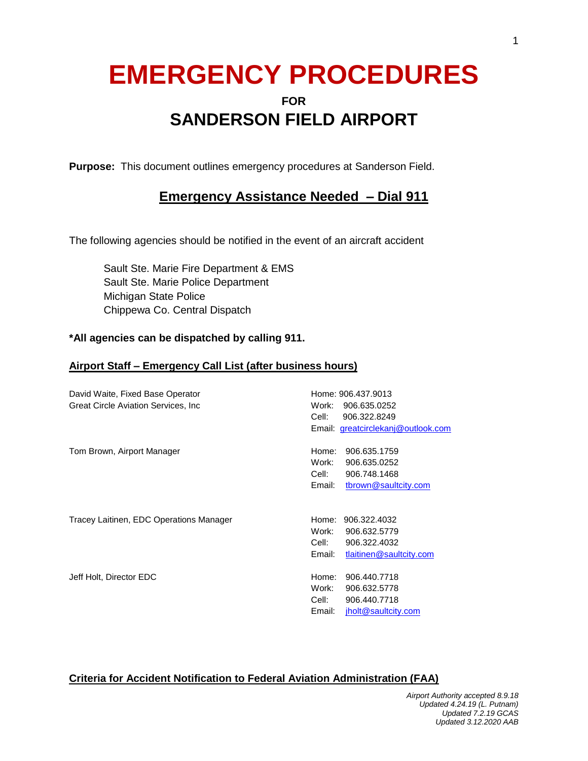# **EMERGENCY PROCEDURES**

## **FOR SANDERSON FIELD AIRPORT**

**Purpose:** This document outlines emergency procedures at Sanderson Field.

### **Emergency Assistance Needed – Dial 911**

The following agencies should be notified in the event of an aircraft accident

Sault Ste. Marie Fire Department & EMS Sault Ste. Marie Police Department Michigan State Police Chippewa Co. Central Dispatch

#### **\*All agencies can be dispatched by calling 911.**

#### **Airport Staff – Emergency Call List (after business hours)**

| David Waite, Fixed Base Operator<br>Great Circle Aviation Services, Inc. | Home: 906.437.9013<br>Work:<br>906.635.0252<br>Cell:<br>906.322.8249<br>Email: greatcirclekanj@outlook.com   |
|--------------------------------------------------------------------------|--------------------------------------------------------------------------------------------------------------|
| Tom Brown, Airport Manager                                               | Home:<br>906.635.1759<br>Work:<br>906.635.0252<br>Cell:<br>906.748.1468<br>tbrown@saultcity.com<br>Email:    |
| Tracey Laitinen, EDC Operations Manager                                  | Home:<br>906.322.4032<br>Work:<br>906.632.5779<br>Cell:<br>906.322.4032<br>Email:<br>tlaitinen@saultcity.com |
| Jeff Holt, Director EDC                                                  | Home:<br>906.440.7718<br>Work:<br>906.632.5778<br>Cell:<br>906.440.7718<br>jholt@saultcity.com<br>Email:     |

#### **Criteria for Accident Notification to Federal Aviation Administration (FAA)**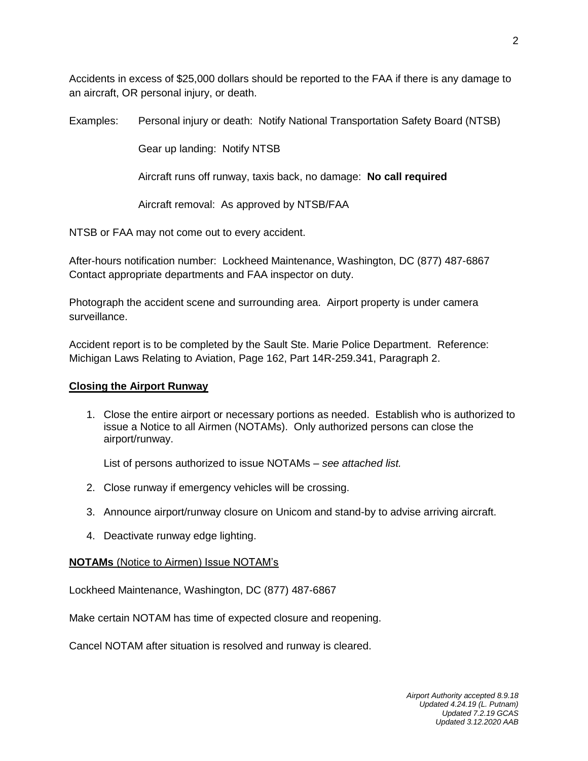Accidents in excess of \$25,000 dollars should be reported to the FAA if there is any damage to an aircraft, OR personal injury, or death.

Examples: Personal injury or death: Notify National Transportation Safety Board (NTSB)

Gear up landing: Notify NTSB

Aircraft runs off runway, taxis back, no damage: **No call required**

Aircraft removal: As approved by NTSB/FAA

NTSB or FAA may not come out to every accident.

After-hours notification number: Lockheed Maintenance, Washington, DC (877) 487-6867 Contact appropriate departments and FAA inspector on duty.

Photograph the accident scene and surrounding area. Airport property is under camera surveillance.

Accident report is to be completed by the Sault Ste. Marie Police Department. Reference: Michigan Laws Relating to Aviation, Page 162, Part 14R-259.341, Paragraph 2.

#### **Closing the Airport Runway**

1. Close the entire airport or necessary portions as needed. Establish who is authorized to issue a Notice to all Airmen (NOTAMs). Only authorized persons can close the airport/runway.

List of persons authorized to issue NOTAMs – *see attached list.*

- 2. Close runway if emergency vehicles will be crossing.
- 3. Announce airport/runway closure on Unicom and stand-by to advise arriving aircraft.
- 4. Deactivate runway edge lighting.

#### **NOTAMs** (Notice to Airmen) Issue NOTAM's

Lockheed Maintenance, Washington, DC (877) 487-6867

Make certain NOTAM has time of expected closure and reopening.

Cancel NOTAM after situation is resolved and runway is cleared.